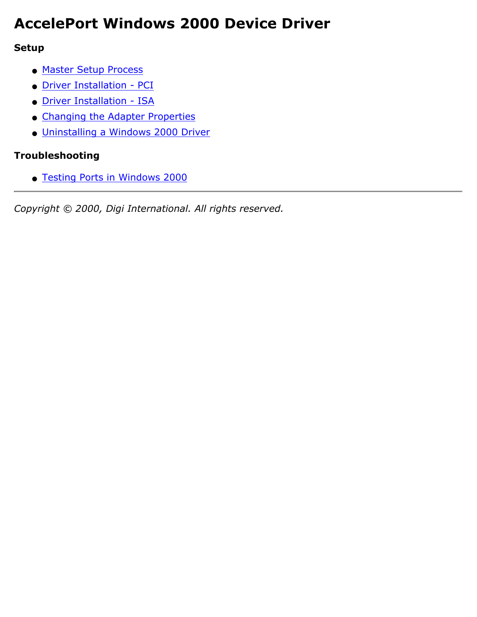# **AccelePort Windows 2000 Device Driver**

#### **Setup**

- [Master Setup Process](#page-1-0)
- [Driver Installation PCI](#page-2-0)
- [Driver Installation ISA](#page-3-0)
- [Changing the Adapter Properties](#page-5-0)
- [Uninstalling a Windows 2000 Driver](#page-6-0)

### **Troubleshooting**

● [Testing Ports in Windows 2000](#page-7-0)

*Copyright © 2000, Digi International. All rights reserved.*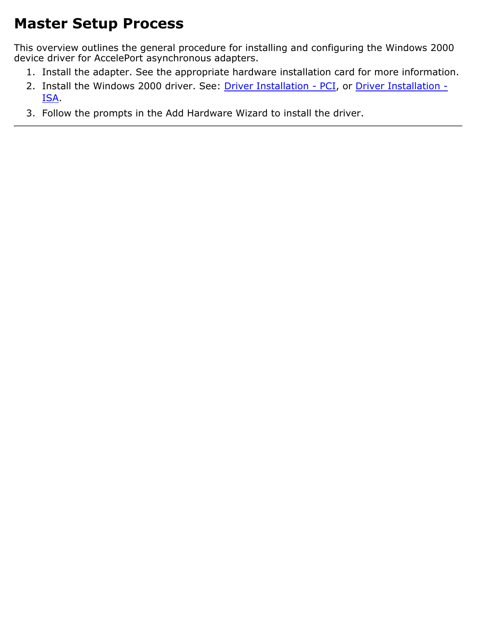# <span id="page-1-0"></span>**Master Setup Process**

This overview outlines the general procedure for installing and configuring the Windows 2000 device driver for AccelePort asynchronous adapters.

- 1. Install the adapter. See the appropriate hardware installation card for more information.
- 2. Install the Windows 2000 driver. See: [Driver Installation PCI](#page-2-0), or [Driver Installation -](#page-3-0) [ISA](#page-3-0).
- 3. Follow the prompts in the Add Hardware Wizard to install the driver.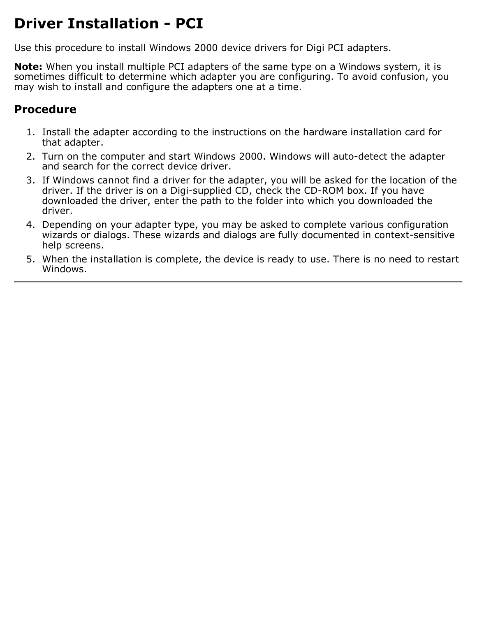## <span id="page-2-0"></span>**Driver Installation - PCI**

Use this procedure to install Windows 2000 device drivers for Digi PCI adapters.

**Note:** When you install multiple PCI adapters of the same type on a Windows system, it is sometimes difficult to determine which adapter you are configuring. To avoid confusion, you may wish to install and configure the adapters one at a time.

### **Procedure**

- 1. Install the adapter according to the instructions on the hardware installation card for that adapter.
- Turn on the computer and start Windows 2000. Windows will auto-detect the adapter 2. and search for the correct device driver.
- 3. If Windows cannot find a driver for the adapter, you will be asked for the location of the driver. If the driver is on a Digi-supplied CD, check the CD-ROM box. If you have downloaded the driver, enter the path to the folder into which you downloaded the driver.
- Depending on your adapter type, you may be asked to complete various configuration 4. wizards or dialogs. These wizards and dialogs are fully documented in context-sensitive help screens.
- 5. When the installation is complete, the device is ready to use. There is no need to restart Windows.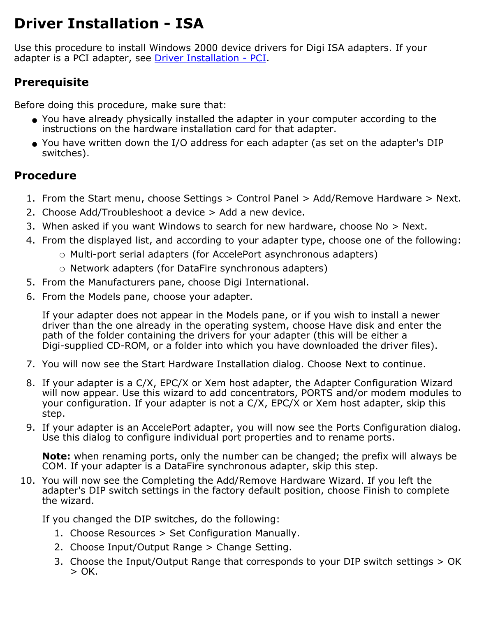## <span id="page-3-0"></span>**Driver Installation - ISA**

Use this procedure to install Windows 2000 device drivers for Digi ISA adapters. If your adapter is a PCI adapter, see [Driver Installation - PCI.](#page-2-0)

## **Prerequisite**

Before doing this procedure, make sure that:

- You have already physically installed the adapter in your computer according to the instructions on the hardware installation card for that adapter.
- You have written down the I/O address for each adapter (as set on the adapter's DIP switches).

## **Procedure**

- 1. From the Start menu, choose Settings > Control Panel > Add/Remove Hardware > Next.
- 2. Choose Add/Troubleshoot a device > Add a new device.
- 3. When asked if you want Windows to search for new hardware, choose No > Next.
- 4. From the displayed list, and according to your adapter type, choose one of the following:
	- ❍ Multi-port serial adapters (for AccelePort asynchronous adapters)
	- ❍ Network adapters (for DataFire synchronous adapters)
- 5. From the Manufacturers pane, choose Digi International.
- 6. From the Models pane, choose your adapter.

If your adapter does not appear in the Models pane, or if you wish to install a newer driver than the one already in the operating system, choose Have disk and enter the path of the folder containing the drivers for your adapter (this will be either a Digi-supplied CD-ROM, or a folder into which you have downloaded the driver files).

- 7. You will now see the Start Hardware Installation dialog. Choose Next to continue.
- 8. If your adapter is a C/X, EPC/X or Xem host adapter, the Adapter Configuration Wizard will now appear. Use this wizard to add concentrators, PORTS and/or modem modules to your configuration. If your adapter is not a C/X, EPC/X or Xem host adapter, skip this step.
- 9. If your adapter is an AccelePort adapter, you will now see the Ports Configuration dialog. Use this dialog to configure individual port properties and to rename ports.

**Note:** when renaming ports, only the number can be changed; the prefix will always be COM. If your adapter is a DataFire synchronous adapter, skip this step.

10. You will now see the Completing the Add/Remove Hardware Wizard. If you left the adapter's DIP switch settings in the factory default position, choose Finish to complete the wizard.

If you changed the DIP switches, do the following:

- 1. Choose Resources > Set Configuration Manually.
- 2. Choose Input/Output Range > Change Setting.
- 3. Choose the Input/Output Range that corresponds to your DIP switch settings > OK  $>$  OK.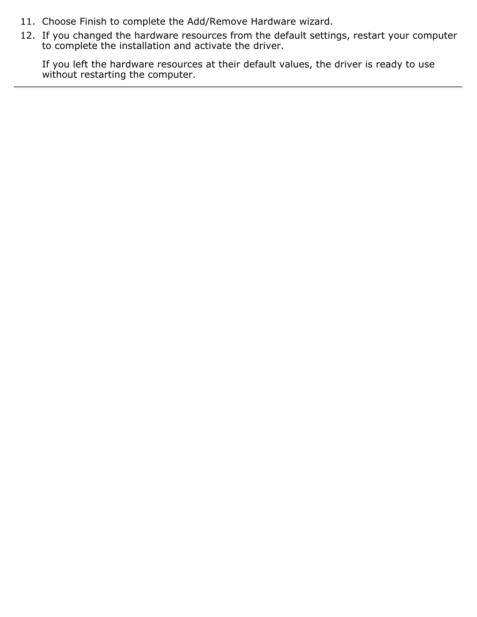- 11. Choose Finish to complete the Add/Remove Hardware wizard.
- If you changed the hardware resources from the default settings, restart your computer to complete the installation and activate the driver. 12.

If you left the hardware resources at their default values, the driver is ready to use without restarting the computer.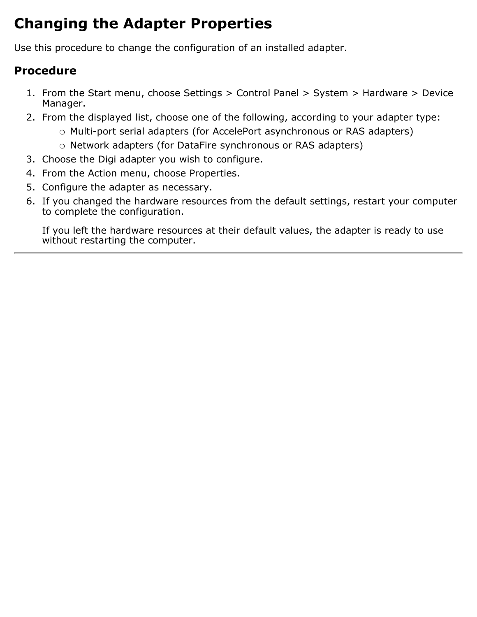# <span id="page-5-0"></span>**Changing the Adapter Properties**

Use this procedure to change the configuration of an installed adapter.

### **Procedure**

- 1. From the Start menu, choose Settings > Control Panel > System > Hardware > Device Manager.
- 2. From the displayed list, choose one of the following, according to your adapter type:
	- ❍ Multi-port serial adapters (for AccelePort asynchronous or RAS adapters)
	- ❍ Network adapters (for DataFire synchronous or RAS adapters)
- 3. Choose the Digi adapter you wish to configure.
- 4. From the Action menu, choose Properties.
- 5. Configure the adapter as necessary.
- 6. If you changed the hardware resources from the default settings, restart your computer to complete the configuration.

If you left the hardware resources at their default values, the adapter is ready to use without restarting the computer.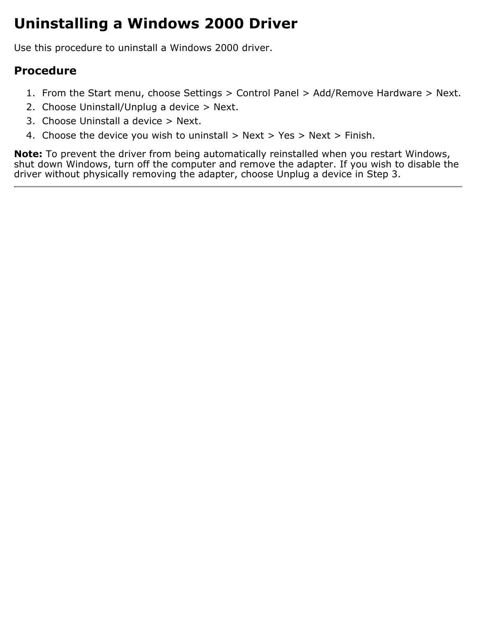## <span id="page-6-0"></span>**Uninstalling a Windows 2000 Driver**

Use this procedure to uninstall a Windows 2000 driver.

### **Procedure**

- 1. From the Start menu, choose Settings > Control Panel > Add/Remove Hardware > Next.
- 2. Choose Uninstall/Unplug a device > Next.
- 3. Choose Uninstall a device > Next.
- 4. Choose the device you wish to uninstall  $>$  Next  $>$  Yes  $>$  Next  $>$  Finish.

**Note:** To prevent the driver from being automatically reinstalled when you restart Windows, shut down Windows, turn off the computer and remove the adapter. If you wish to disable the driver without physically removing the adapter, choose Unplug a device in Step 3.